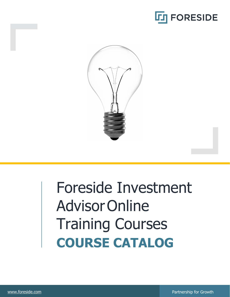



# Foreside Investment Advisor Online Training Courses **COURSE CATALOG**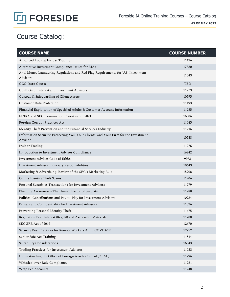

# Course Catalog:

| <b>COURSE NAME</b>                                                                              | <b>COURSE NUMBER</b> |
|-------------------------------------------------------------------------------------------------|----------------------|
| Advanced Look at Insider Trading                                                                | 11196                |
| Alternative Investment Compliance Issues for RIAs                                               | 17830                |
| Anti-Money Laundering Regulations and Red Flag Requirements for U.S. Investment<br>Advisors     | 11043                |
| CCO Intro Course                                                                                | <b>TBD</b>           |
| Conflicts of Interest and Investment Advisors                                                   | 11273                |
| Custody & Safeguarding of Client Assets                                                         | 10595                |
| Customer Data Protection                                                                        | 11193                |
| Financial Exploitation of Specified Adults & Customer Account Information                       | 11285                |
| FINRA and SEC Examination Priorities for 2021                                                   | 16006                |
| Foreign Corrupt Practices Act                                                                   | 11045                |
| Identity Theft Prevention and the Financial Services Industry                                   | 11216                |
| Information Security: Protecting You, Your Clients, and Your Firm for the Investment<br>Advisor | 10538                |
| Insider Trading                                                                                 | 11276                |
| Introduction to Investment Advisor Compliance                                                   | 16842                |
| Investment Advisor Code of Ethics                                                               | 9973                 |
| Investment Advisor Fiduciary Responsibilities                                                   | 10643                |
| Marketing & Advertising: Review of the SEC's Marketing Rule                                     | 15908                |
| Online Identity Theft Scams                                                                     | 11206                |
| Personal Securities Transactions for Investment Advisors                                        | 11279                |
| Phishing Awareness - The Human Factor of Security                                               | 11280                |
| Political Contributions and Pay-to-Play for Investment Advisors                                 | 10934                |
| Privacy and Confidentiality for Investment Advisors                                             | 11026                |
| Preventing Personal Identity Theft                                                              | 11475                |
| Regulation Best Interest (Reg BI) and Associated Materials                                      | 11708                |
| SECURE Act of 2019                                                                              | 12670                |
| Security Best Practices for Remote Workers Amid COVID-19                                        | 12752                |
| Senior Safe Act Training                                                                        | 11514                |
| Suitability Considerations                                                                      | 16843                |
| Trading Practices for Investment Advisors                                                       | 11033                |
| Understanding the Office of Foreign Assets Control (OFAC)                                       | 11296                |
| Whistleblower Rule Compliance                                                                   | 11281                |
| Wrap Fee Accounts                                                                               | 11248                |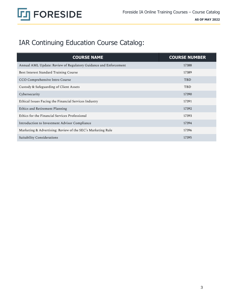

# IAR Continuing Education Course Catalog:

| <b>COURSE NAME</b>                                               | <b>COURSE NUMBER</b> |
|------------------------------------------------------------------|----------------------|
| Annual AML Update: Review of Regulatory Guidance and Enforcement | 17388                |
| Best Interest Standard Training Course                           | 17389                |
| CCO Comprehensive Intro Course                                   | <b>TBD</b>           |
| Custody & Safeguarding of Client Assets                          | <b>TBD</b>           |
| Cybersecurity                                                    | 17390                |
| Ethical Issues Facing the Financial Services Industry            | 17391                |
| Ethics and Retirement Planning                                   | 17392                |
| Ethics for the Financial Services Professional                   | 17393                |
| Introduction to Investment Advisor Compliance                    | 17394                |
| Marketing & Advertising: Review of the SEC's Marketing Rule      | 17396                |
| Suitability Considerations                                       | 17395                |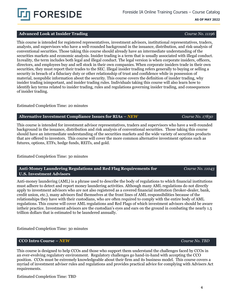

# **Advanced Look at Insider Trading** *Course No. 11196*

This course is intended for registered representatives, investment advisors, institutional representatives, traders, analysts, and supervisors who have a well-rounded background in the issuance, distribution, and risk-analysis of conventional securities. Those taking this course should already have an intermediate understanding of the securities markets and economic analysis. Insider trading is a term that is usually associated with illegal conduct. In reality, the term includes both legal and illegal conduct. The legal version is when corporate insiders, officers, directors, and employees buy and sell stock in their own companies. When corporate insiders trade in their own securities, they must report their trades to the SEC. Illegal insider trading refers generally to buying or selling a security in breach of a fiduciary duty or other relationship of trust and confidence while in possession of material, nonpublic information about the security. This course covers the definition of insider trading, why insider trading isimportant, and insider trading rules. Individuals taking this course will also learn how to identify key terms related to insider trading, rules and regulations governing insider trading, and consequences of insider trading.

### Estimated Completion Time: 20 minutes

### **Alternative Investment Compliance Issues for RIAs –** *NEW**Course No. 17830*

This course is intended for investment advisor representatives, traders and supervisors who have a well-rounded background in the issuance, distribution and risk analysis of conventional securities. Those taking this course should have an intermediate understanding of the securities markets and the wide variety of securities products that are offered to investors. This course will cover the more common alternative investment options such as futures, options, ETFs, hedge funds, REITs, and gold.

## Estimated Completion Time: 30 minutes

# **Anti-Money Laundering Regulations and Red Flag Requirements for U.S. Investment Advisors**

Anti-money laundering (AML) is a phrase used to describe the body of regulations to which financial institutions must adhere to detect and report money laundering activities. Although many AML regulations do not directly apply to investment advisors who are not also registered as a covered financial institution (broker-dealer, bank, credit union, etc.), many advisors find themselves at the front lines of AML responsibilities because of the relationships they have with their custodians, who are often required to comply with the entire body of AML regulations. This course will cover AML regulations and Red Flags of which investment advisors should be aware intheir practice. Investment advisors are the custodian's eyes and ears on the ground in combating the nearly 1.5 trillion dollars that is estimated to be laundered annually.

Estimated Completion Time: 30 minutes

# **CCO Intro Course –** *NEW Course No. TBD*

This course is designed to help CCOs and those who support them understand the challenges faced by CCOs in an ever-evolving regulatory environment. Regulatory challenges go hand-in-hand with accepting the CCO position. CCOs must be extremely knowledgeable about their firm and its business model. This course covers a myriad of investment adviser rules and regulations and provides practical advice for complying with Advisers Act requirements.

Estimated Completion Time: TBD

4

 *Course No. 11043*



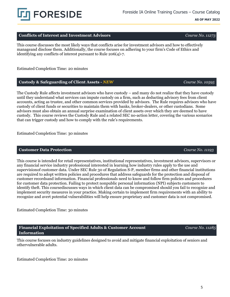5

# **Conflicts of Interest and Investment Advisors** *Course No. 11273*

This course discusses the most likely ways that conflicts arise for investment advisors and how to effectively manageand disclose them. Additionally, the course focuses on adhering to your firm's Code of Ethics and identifying any conflicts of interest pursuant to Rule 206(4)-7.

Estimated Completion Time: 20 minutes

# **Custody & Safeguarding of Client Assets -** *NEW Course No. 10595*

The Custody Rule affects investment advisors who have custody – and many do not realize that they have custody until they understand what services can impute custody on a firm, such as deducting advisory fees from client accounts, acting as trustee, and other common services provided by advisors. The Rule requires advisors who have custody of client funds or securities to maintain them with banks, broker-dealers, or other custodians. Some advisors must also obtain an annual surprise examination of client assets over which they are deemed to have custody. This course reviews the Custody Rule and a related SEC no-action letter, covering the various scenarios that can trigger custody and how to comply with the rule's requirements.

Estimated Completion Time: 30 minutes

# **Customer Data Protection** *Course No. 11193*

This course is intended for retail representatives, institutional representatives, investment advisors, supervisors or any financial service industry professional interested in learning how industry rules apply to the use and supervisionof customer data. Under SEC Rule 30 of Regulation S-P, member firms and other financial institutions are required to adopt written policies and procedures that address safeguards for the protection and disposal of customer recordsand information. Financial professionals need to know and follow firm policies and procedures for customer data protection. Failing to protect nonpublic personal information (NPI) subjects customers to identify theft. This coursediscusses ways in which client data can be compromised should you fail to recognize and implement security measures in your practice. Making certain to implement firm requirements with an ability to recognize and avert potential vulnerabilities will help ensure proprietary and customer data is not compromised.

Estimated Completion Time: 30 minutes

**Information**

This course focuses on industry guidelines designed to avoid and mitigate financial exploitation of seniors and other vulnerable adults.

**Financial Exploitation of Specified Adults & Customer Account** 

Estimated Completion Time: 20 minutes



*Course No. 11285*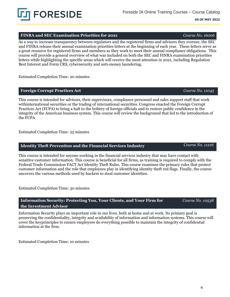# Foreside IA Online Training Courses – Course Catalog

## **AS OF MAY 2022**

# **FINRA and SEC Examination Priorities for 2021** *Course No. 16006*

As a way to increase transparency between regulators and the registered firms and advisors they oversee, the SEC and FINRA release their annual examination priorities letters at the beginning of each year. These letters serve as a great resource for registered firms and members as they work to meet their annual compliance obligations. This course will provide a general overview of what was included on both the SEC and FINRA examination priorities letters while highlighting the specific areas which will receive the most attention in 2021, including Regulation Best Interest and Form CRS, cybersecurity and anti-money laundering.

Estimated Completion Time: 20 minutes

# **Foreign Corrupt Practices Act** *Course No. 11045*

This course is intended for advisors, their supervisors, compliance personnel and sales support staff that work withinternational securities or the trading of international securities. Congress enacted the Foreign Corrupt Practices Act (FCPA) to bring a halt to the bribery of foreign officials and to restore public confidence in the integrity of the American business system. This course will review the background that led to the introduction of the FCPA.

Estimated Completion Time: 25 minutes

# **Identity Theft Prevention and the Financial Services Industry** *Course No. 11216*

**Information Security: Protecting You, Your Clients, and Your Firm for**

This course is intended for anyone working in the financial services industry that may have contact with sensitive customer information. This course is beneficial for all firms, as training is required to comply with the Federal Trade Commission FACT Act Identity Theft Rules. This course examines the primary rules that protect customer information and the role that employees play in identifying identity theft red flags. Finally, the course uncovers the various methods used by hackers to steal customer identities.

Estimated Completion Time: 30 minutes

**the Investment Advisor** Information Security plays an important role in our lives, both at home and at work. Its primary goal is preserving the confidentiality, integrity and availability of information and information systems. This course will cover the keyprinciples to ensure employees do everything possible to maintain the integrity of confidential information at the firm.

Estimated Completion Time: 10 minutes

**FORESIDE** 

 *Course No. 10538*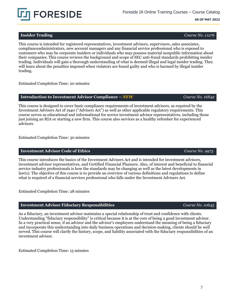

# **Insider Trading** *Course No. 11276*

This course is intended for registered representatives, investment advisors, supervisors, sales associates, complianceadministrators, new account managers and any financial service professional who is exposed to customers who may be corporate insiders or individuals who may possess material nonpublic information about their companies. This course reviews the background and scope of SEC anti-fraud standards prohibiting insider trading. Individuals will gain a thorough understanding of what is deemed illegal and legal insider trading. They will learn about the penalties imposed when violators are found guilty and who is harmed by illegal insider trading.

Estimated Completion Time: 20 minutes

# **Introduction to Investment Advisor Compliance –** *NEW Course No. 16842*

This course is designed to cover basic compliance requirements of investment advisors, as required by the Investment Advisers Act of 1940 ("Advisers Act") as well as other applicable regulatory requirements. This course serves as educational and informational for novice investment advisor representatives, including those just joining an RIA or starting a new firm. This course also services as a healthy refresher for experienced advisors.

Estimated Completion Time: 30 minutes

# **Investment Advisor Code of Ethics** *Course No. 9973*

This course introduces the basics of the Investment Advisers Act and is intended for investment advisors, investment advisor representatives, and Certified Financial Planners. Also, of interest and beneficial to financial service industry professionals is how the standards may be changing as well as the latest developments in law(s). The objective of this course is to provide an overview of various definitions and regulations to define what is required of a financial services professional who falls under the Investment Advisers Act.

Estimated Completion Time: 28 minutes

# **Investment Advisor Fiduciary Responsibilities** *Course No. 10643*

As a fiduciary, an investment advisor maintains a special relationship of trust and confidence with clients. Understanding "fiduciary responsibility" is critical because it is at the core of being a good investment advisor. In a very practical sense, if an advisor and the advisor's employees understand the meaning of being a fiduciary and incorporate this understanding into daily business operations and decision-making, clients should be well served. This course will clarify the history, scope, and liability associated with the fiduciary responsibilities of an investment advisor.

Estimated Completion Time: 15 minutes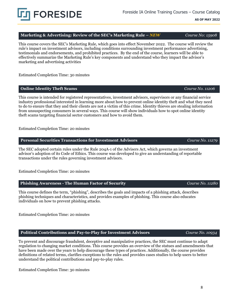Foreside IA Online Training Courses – Course Catalog

**AS OF MAY 2022**

# **Marketing & Advertising: Review of the SEC's Marketing Rule –** *NEW Course No: 15908*

This course covers the SEC's Marketing Rule, which goes into effect November 2022. The course will review the rule's impact on investment advisors, including conditions surrounding investment performance advertising, testimonials and endorsements, and prohibited practices. By the end of the course, learners will be able to effectively summarize the Marketing Rule's key components and understand who they impact the advisor's marketing and advertising activities

Estimated Completion Time: 30 minutes

## **Online Identity Theft Scams** *Course No. 11206*

This course is intended for registered representatives, investment advisors, supervisors or any financial service industry professional interested in learning more about how to prevent online identity theft and what they need to do to ensure that they and their clients are not a victim of this crime. Identity thieves are stealing information from unsuspecting consumers in several ways. This course will show individuals how to spot online identity theft scams targeting financial sector customers and how to avoid them.

Estimated Completion Time: 20 minutes

**Personal Securities Transactions for Investment Advisors** *Course No. 11279*

The SEC adopted certain rules under the Rule 204A-1 of the Advisers Act, which governs an investment advisor's adoption of its Code of Ethics. This course was developed to give an understanding of reportable transactions under the rules governing investment advisors.

Estimated Completion Time: 20 minutes

**Phishing Awareness - The Human Factor of Security** *Course No. 11280*

This course defines the term, "phishing", describes the goals and impacts of a phishing attack, describes phishing techniques and characteristics, and provides examples of phishing. This course also educates individuals on how to prevent phishing attacks.

Estimated Completion Time: 20 minutes

**Political Contributions and Pay-to-Play for Investment Advisors** *Course No. 10934*

To prevent and discourage fraudulent, deceptive and manipulative practices, the SEC must continue to adapt regulation to changing market conditions. This course provides an overview of the statues and amendments that have been made over the years to help discourage these types of practices. Additionally, the course provides definitions of related terms, clarifies exceptions to the rules and provides cases studies to help users to better understand the political contributions and pay-to-play rules.

Estimated Completion Time: 30 minutes

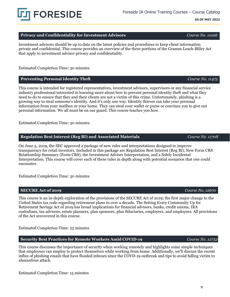# **Privacy** and **Confidentiality** for **Investment Advisors** *Course No. 11026*

Investment advisors should be up to date on the latest policies and procedures to keep client information private and confidential. This course provides an overview of the three portions of the Gramm-Leach-Bliley Act that apply to investment advisor privacy and confidentiality.

Estimated Completion Time: 30 minutes

**FORESIDE** 

# **Preventing Personal Identity Theft** *Course No. 11475**Course No. 11475*

This course is intended for registered representatives, investment advisors, supervisors or any financial service industry professional interested in learning more about how to prevent personal identity theft and what they need to do to ensure that they and their clients are not a victim of this crime. Unfortunately, phishing is a growing way to steal someone's identity. And it's only one way. Identity thieves can take your personal information from your mailbox or your home. They can steal your wallet or purse or convince you to give out personal information. We all must be on our guard. This course teaches you how.

Estimated Completion Time: 30 minutes

# **Regulation Best Interest (Reg BI) and Associated Materials** *Course No. 11708*

On June 5, 2019, the SEC approved a package of new rules and interpretations designed to improve transparency for retail investors. Included in this package are Regulation Best Interest (Reg BI), New Form CRS Relationship Summary (Form CRS), the Investment Adviser Interpretation, and a Solely Incidental Interpretation. This course will cover each of these rules in depth along with potential scenarios that one could encounter.

Estimated Completion Time: 30 minutes

# **SECURE Act of 2019** *Course No. 12670*

This course is an in-depth exploration of the provisions of the SECURE Act of 2019; the first major change to the United States tax code regarding retirement plans in over a decade. The Setting Every Community Up for Retirement Savings Act of 2019 has broad implications for financial advisors, banks, credit unions, IRA custodians, tax advisors, estate planners, plan sponsors, plan fiduciaries, employers, and employees. All provisions of the Act arecovered in this course.

Estimated Completion Time: 25 minutes

# **Security Best Practices for Remote Workers Amid COVID-19** *Course No. 12752*

This course discusses the importance of security when working remotely and highlights some simple techniques that employees can employ to protect themselves while working from home. Additionally, we'll discuss the recent influx of phishing emails that have flooded inboxes since the COVD-19 outbreak and tips to avoid falling victim to ahazardous attack.

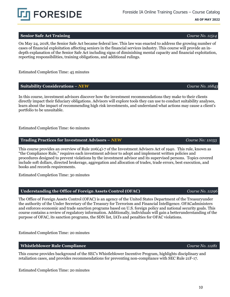# **Senior Safe Act Training** *Course No. 11514*

On May 24, 2018, the Senior Safe Act became federal law. This law was enacted to address the growing number of cases of financial exploitation affecting seniors in the financial services industry. This course will provide an indepth explanation of the Senior Safe Act including signs of diminishing mental capacity and financial exploitation, reporting responsibilities, training obligations, and additional rulings.

Estimated Completion Time: 45 minutes

# **Suitability Considerations –** *NEW Course No. 16843*

In this course, investment advisors discover how the investment recommendations they make to their clients directly impact their fiduciary obligations. Advisors will explore tools they can use to conduct suitability analyses, learn about the impact of recommending high risk investments, and understand what actions may cause a client's portfolio to be unsuitable.

Estimated Completion Time: 60 minutes

**Trading Practices for Investment Advisors –** *NEW**Course No: 11033*

This course provides an overview of Rule 206(4)-7 of the Investment Advisers Act of 1940. This rule, known as "the Compliance Rule," requires each investment advisor to adopt and implement written policies and procedures designed to prevent violations by the investment advisor and its supervised persons. Topics covered include soft dollars, directed brokerage, aggregation and allocation of trades, trade errors, best execution, and books and records requirements.

Estimated Completion Time: 30 minutes

# **Understanding the Office of Foreign Assets Control (OFAC)** *Course No. 11296*

The Office of Foreign Assets Control (OFAC) is an agency of the United States Department of the Treasuryunder the authority of the Under Secretary of the Treasury for Terrorism and Financial Intelligence. OFACadministers and enforces economic and trade sanction programs based on U.S. foreign policy and national security goals. This course contains a review of regulatory information. Additionally, individuals will gain a betterunderstanding of the purpose of OFAC, its sanction programs, the SDN list, IATs and penalties for OFAC violations.

Estimated Completion Time: 20 minutes

# **Whistleblower Rule Compliance** *Course No. 11281*

This course provides background of the SEC's Whistleblower Incentive Program, highlights disciplinary and retaliation cases, and provides recommendations for preventing non-compliance with SEC Rule 21F-17.

Estimated Completion Time: 20 minutes

**FORESIDE**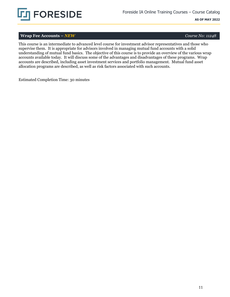

# **Wrap Fee Accounts –** *NEW Course No: 11248*

This course is an intermediate to advanced level course for investment advisor representatives and those who supervise them. It is appropriate for advisors involved in managing mutual fund accounts with a solid understanding of mutual fund basics. The objective of this course is to provide an overview of the various wrap accounts available today. It will discuss some of the advantages and disadvantages of these programs. Wrap accounts are described, including asset investment services and portfolio management. Mutual fund asset allocation programs are described, as well as risk factors associated with such accounts.

Estimated Completion Time: 30 minutes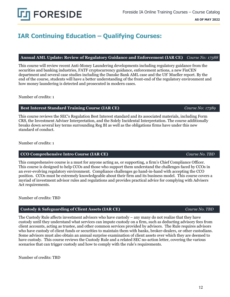# **IAR Continuing Education – Qualifying Courses:**

# **Annual AML Update: Review of Regulatory Guidance and Enforcement (IAR CE)** *Course No: 17388*

This course will review recent Anti-Money Laundering developments including regulatory guidance from the securities and banking industries, FATF cryptocurrency guidance, enforcement actions, a new FinCEN department and several case studies including the Danske Bank AML case and the US' Mueller report. By the end of the course, students will have a better understanding of the front-end of the regulatory environment and how money laundering is detected and prosecuted in modern cases.

Number of credits: 1

# **Best Interest Standard Training Course (IAR CE)** *Course No: 17389*

This course reviews the SEC's Regulation Best Interest standard and its associated materials, including Form CRS, the Investment Adviser Interpretation, and the Solely Incidental Interpretation. The course additionally breaks down several key terms surrounding Reg BI as well as the obligations firms have under this new standard of conduct.

Number of credits: 1

# **CCO Comprehensive Intro Course (IAR CE)** *Course No. TBD*

This comprehensive course is a must for anyone acting as, or supporting, a firm's Chief Compliance Officer. This course is designed to help CCOs and those who support them understand the challenges faced by CCOs in an ever-evolving regulatory environment. Compliance challenges go hand-in-hand with accepting the CCO position. CCOs must be extremely knowledgeable about their firm and its business model. This course covers a myriad of investment advisor rules and regulations and provides practical advice for complying with Advisers Act requirements.

Number of credits: TBD

# **Custody & Safeguarding of Client Assets (IAR CE)** *Course No. TBD*

The Custody Rule affects investment advisors who have custody – any many do not realize that they have custody until they understand what services can impute custody on a firm, such as deducting advisory fees from client accounts, acting as trustee, and other common services provided by advisors. The Rule requires advisors who have custody of client funds or securities to maintain them with banks, broker-dealers, or other custodians. Some advisors must also obtain an annual surprise examination of client assets over which they are deemed to have custody. This course reviews the Custody Rule and a related SEC no-action letter, covering the various scenarios that can trigger custody and how to comply with the rule's requirements.

Number of credits: TBD

# **FORESIDE**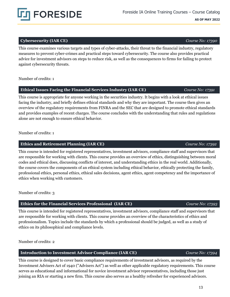# **Cybersecurity (IAR CE)** *Course No: 17390*

This course examines various targets and types of cyber-attacks, their threat to the financial industry, regulatory measures to prevent cyber-crimes and practical steps toward cybersecurity. The course also provides practical advice for investment advisors on steps to reduce risk, as well as the consequences to firms for failing to protect against cybersecurity threats.

Number of credits: 1

# **Ethical Issues Facing the Financial Services Industry (IAR CE)** *Course No: 17391*

This course is appropriate for anyone working in the securities industry. It begins with a look at ethical issues facing the industry, and briefly defines ethical standards and why they are important. The course then gives an overview of the regulatory requirements from FINRA and the SEC that are designed to promote ethical standards and provides examples of recent charges. The course concludes with the understanding that rules and regulations alone are not enough to ensure ethical behavior.

Number of credits: 1

# **Ethics and Retirement Planning (IAR CE)** *Course No: 17392*

This course is intended for registered representatives, investment advisors, compliance staff and supervisors that are responsible for working with clients. This course provides an overview of ethics, distinguishing between moral codes and ethical does, discussing conflicts of interest, and understanding ethics in the real world. Additionally, the course covers the components of an ethical system including ethical behavior, ethically protecting the family, professional ethics, personal ethics, ethical sales decisions, agent ethics, agent competency and the importance of ethics when working with customers.

Number of credits: 3

# **Ethics for the Financial Services Professional (IAR CE)** *Course No: 17393*

This course is intended for registered representatives, investment advisors, compliance staff and supervisors that are responsible for working with clients. This course provides an overview of the characteristics of ethics and professionalism. Topics include the standards by which a professional should be judged, as well as a study of ethics on its philosophical and compliance levels.

Number of credits: 2

# **Introduction to Investment Advisor Compliance (IAR CE)** *Course No: 17394*

This course is designed to cover basic compliance requirements of investment advisors, as required by the Investment Advisers Act of 1940 ("Advisers Act") as well as other applicable regulatory requirements. This course serves as educational and informational for novice investment advisor representatives, including those just joining an RIA or starting a new firm. This course also serves as a healthy refresher for experienced advisors.